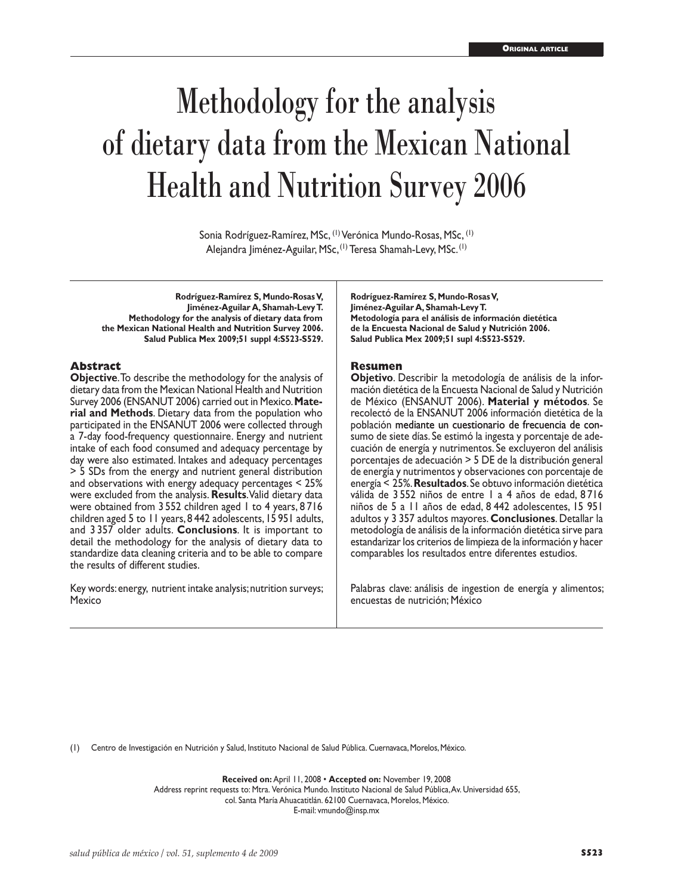# Methodology for the analysis of dietary data from the Mexican National Health and Nutrition Survey 2006

Sonia Rodríguez-Ramírez, MSc, (1) Verónica Mundo-Rosas, MSc, (1) Alejandra Jiménez-Aguilar, MSc, <sup>(1)</sup> Teresa Shamah-Levy, MSc. <sup>(1)</sup>

**Rodríguez-Ramírez S, Mundo-Rosas V, Jiménez-Aguilar A, Shamah-Levy T. Methodology for the analysis of dietary data from the Mexican National Health and Nutrition Survey 2006. Salud Publica Mex 2009;51 suppl 4:S523-S529.**

## **Abstract**

**Objective**. To describe the methodology for the analysis of dietary data from the Mexican National Health and Nutrition Survey 2006 (ENSANUT 2006) carried out in Mexico. **Material and Methods**. Dietary data from the population who participated in the ENSANUT 2006 were collected through a 7-day food-frequency questionnaire. Energy and nutrient intake of each food consumed and adequacy percentage by day were also estimated. Intakes and adequacy percentages > 5 SDs from the energy and nutrient general distribution and observations with energy adequacy percentages < 25% were excluded from the analysis. **Results**. Valid dietary data were obtained from 3 552 children aged 1 to 4 years, 8 716 children aged 5 to 11 years, 8 442 adolescents, 15 951 adults, and 3 357 older adults. **Conclusions**. It is important to detail the methodology for the analysis of dietary data to standardize data cleaning criteria and to be able to compare the results of different studies.

Key words: energy, nutrient intake analysis; nutrition surveys; Mexico

**Rodríguez-Ramírez S, Mundo-Rosas V, Jiménez-Aguilar A, Shamah-Levy T. Metodología para el análisis de información dietética de la Encuesta Nacional de Salud y Nutrición 2006. Salud Publica Mex 2009;51 supl 4:S523-S529.**

## **Resumen**

**Objetivo**. Describir la metodología de análisis de la información dietética de la Encuesta Nacional de Salud y Nutrición de México (ENSANUT 2006). **Material y métodos**. Se recolectó de la ENSANUT 2006 información dietética de la población mediante un cuestionario de frecuencia de consumo de siete días. Se estimó la ingesta y porcentaje de adecuación de energía y nutrimentos. Se excluyeron del análisis porcentajes de adecuación > 5 DE de la distribución general de energía y nutrimentos y observaciones con porcentaje de energía < 25%. **Resultados**. Se obtuvo información dietética válida de 3 552 niños de entre 1 a 4 años de edad, 8 716 niños de 5 a 11 años de edad, 8 442 adolescentes, 15 951 adultos y 3 357 adultos mayores. **Conclusiones**. Detallar la metodología de análisis de la información dietética sirve para estandarizar los criterios de limpieza de la información y hacer comparables los resultados entre diferentes estudios.

Palabras clave: análisis de ingestion de energía y alimentos; encuestas de nutrición; México

(1) Centro de Investigación en Nutrición y Salud, Instituto Nacional de Salud Pública. Cuernavaca, Morelos, México.

**Received on:** April 11, 2008 • **Accepted on:** November 19, 2008 Address reprint requests to: Mtra. Verónica Mundo. Instituto Nacional de Salud Pública, Av. Universidad 655, col. Santa María Ahuacatitlán. 62100 Cuernavaca, Morelos, México.

E-mail: vmundo@insp.mx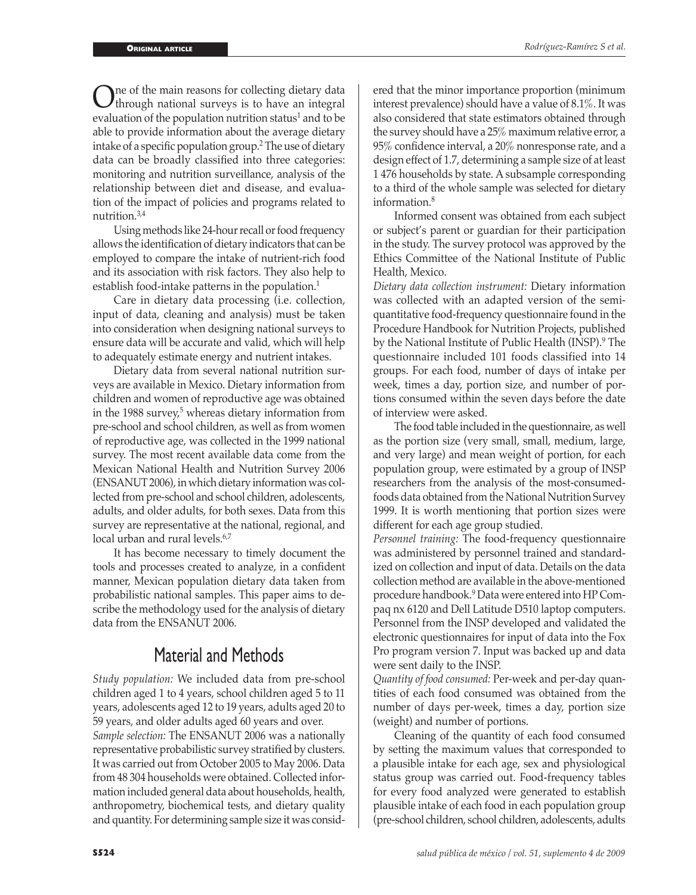One of the main reasons for collecting dietary data<br>through national surveys is to have an integral<br>exploration of the nonviction nutrition of the load to be evaluation of the population nutrition status<sup>1</sup> and to be able to provide information about the average dietary intake of a specific population group.<sup>2</sup> The use of dietary data can be broadly classified into three categories: monitoring and nutrition surveillance, analysis of the relationship between diet and disease, and evaluation of the impact of policies and programs related to nutrition.3,4

Using methods like 24-hour recall or food frequency allows the identification of dietary indicators that can be employed to compare the intake of nutrient-rich food and its association with risk factors. They also help to establish food-intake patterns in the population.<sup>1</sup>

Care in dietary data processing (i.e. collection, input of data, cleaning and analysis) must be taken into consideration when designing national surveys to ensure data will be accurate and valid, which will help to adequately estimate energy and nutrient intakes.

Dietary data from several national nutrition surveys are available in Mexico. Dietary information from children and women of reproductive age was obtained in the 1988 survey,<sup>5</sup> whereas dietary information from pre-school and school children, as well as from women of reproductive age, was collected in the 1999 national survey. The most recent available data come from the Mexican National Health and Nutrition Survey 2006 (ENSANUT 2006), in which dietary information was collected from pre-school and school children, adolescents, adults, and older adults, for both sexes. Data from this survey are representative at the national, regional, and local urban and rural levels.<sup>6,7</sup>

It has become necessary to timely document the tools and processes created to analyze, in a confident manner, Mexican population dietary data taken from probabilistic national samples. This paper aims to describe the methodology used for the analysis of dietary data from the ENSANUT 2006.

## Material and Methods

*Study population:* We included data from pre-school children aged 1 to 4 years, school children aged 5 to 11 years, adolescents aged 12 to 19 years, adults aged 20 to 59 years, and older adults aged 60 years and over.

*Sample selection:* The ENSANUT 2006 was a nationally representative probabilistic survey stratified by clusters. It was carried out from October 2005 to May 2006. Data from 48 304 households were obtained. Collected information included general data about households, health, anthropometry, biochemical tests, and dietary quality and quantity. For determining sample size it was considered that the minor importance proportion (minimum interest prevalence) should have a value of 8.1%. It was also considered that state estimators obtained through the survey should have a 25% maximum relative error, a 95% confidence interval, a 20% nonresponse rate, and a design effect of 1.7, determining a sample size of at least 1 476 households by state. A subsample corresponding to a third of the whole sample was selected for dietary information.<sup>8</sup>

Informed consent was obtained from each subject or subject's parent or guardian for their participation in the study. The survey protocol was approved by the Ethics Committee of the National Institute of Public Health, Mexico.

*Dietary data collection instrument:* Dietary information was collected with an adapted version of the semiquantitative food-frequency questionnaire found in the Procedure Handbook for Nutrition Projects, published by the National Institute of Public Health (INSP).<sup>9</sup> The questionnaire included 101 foods classified into 14 groups. For each food, number of days of intake per week, times a day, portion size, and number of portions consumed within the seven days before the date of interview were asked.

The food table included in the questionnaire, as well as the portion size (very small, small, medium, large, and very large) and mean weight of portion, for each population group, were estimated by a group of INSP researchers from the analysis of the most-consumedfoods data obtained from the National Nutrition Survey 1999. It is worth mentioning that portion sizes were different for each age group studied.

*Personnel training:* The food-frequency questionnaire was administered by personnel trained and standardized on collection and input of data. Details on the data collection method are available in the above-mentioned procedure handbook.<sup>9</sup> Data were entered into HP Compaq nx 6120 and Dell Latitude D510 laptop computers. Personnel from the INSP developed and validated the electronic questionnaires for input of data into the Fox Pro program version 7. Input was backed up and data were sent daily to the INSP.

*Quantity of food consumed:* Per-week and per-day quantities of each food consumed was obtained from the number of days per-week, times a day, portion size (weight) and number of portions.

Cleaning of the quantity of each food consumed by setting the maximum values that corresponded to a plausible intake for each age, sex and physiological status group was carried out. Food-frequency tables for every food analyzed were generated to establish plausible intake of each food in each population group (pre-school children, school children, adolescents, adults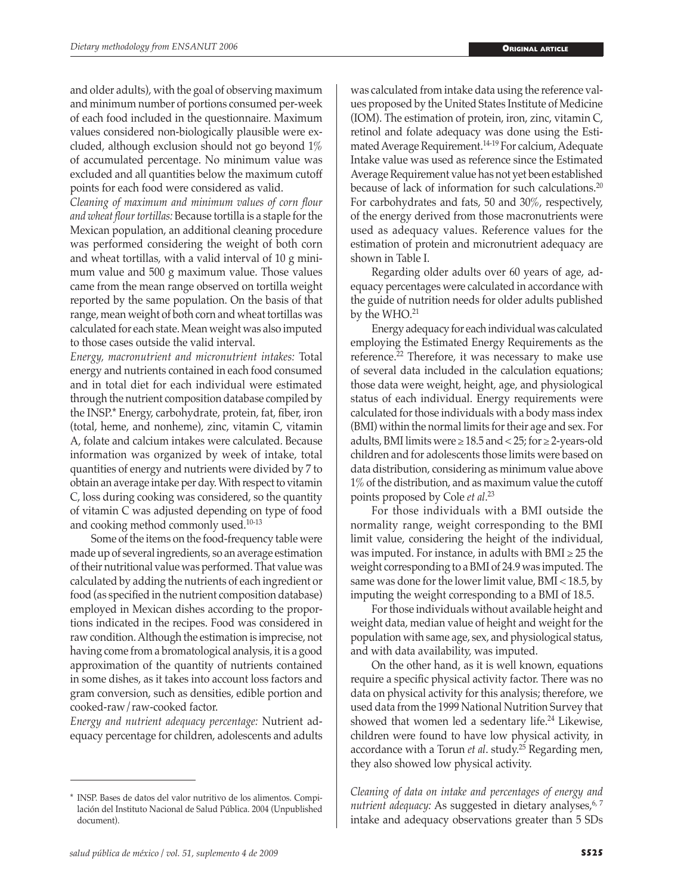and older adults), with the goal of observing maximum and minimum number of portions consumed per-week of each food included in the questionnaire. Maximum values considered non-biologically plausible were excluded, although exclusion should not go beyond 1% of accumulated percentage. No minimum value was excluded and all quantities below the maximum cutoff points for each food were considered as valid.

*Cleaning of maximum and minimum values of corn flour and wheat flour tortillas:* Because tortilla is a staple for the Mexican population, an additional cleaning procedure was performed considering the weight of both corn and wheat tortillas, with a valid interval of 10 g minimum value and 500 g maximum value. Those values came from the mean range observed on tortilla weight reported by the same population. On the basis of that range, mean weight of both corn and wheat tortillas was calculated for each state. Mean weight was also imputed to those cases outside the valid interval.

*Energy, macronutrient and micronutrient intakes:* Total energy and nutrients contained in each food consumed and in total diet for each individual were estimated through the nutrient composition database compiled by the INSP.\* Energy, carbohydrate, protein, fat, fiber, iron (total, heme, and nonheme), zinc, vitamin C, vitamin A, folate and calcium intakes were calculated. Because information was organized by week of intake, total quantities of energy and nutrients were divided by 7 to obtain an average intake per day. With respect to vitamin C, loss during cooking was considered, so the quantity of vitamin C was adjusted depending on type of food and cooking method commonly used.10-13

Some of the items on the food-frequency table were made up of several ingredients, so an average estimation of their nutritional value was performed. That value was calculated by adding the nutrients of each ingredient or food (as specified in the nutrient composition database) employed in Mexican dishes according to the proportions indicated in the recipes. Food was considered in raw condition. Although the estimation is imprecise, not having come from a bromatological analysis, it is a good approximation of the quantity of nutrients contained in some dishes, as it takes into account loss factors and gram conversion, such as densities, edible portion and cooked-raw/raw-cooked factor.

*Energy and nutrient adequacy percentage:* Nutrient adequacy percentage for children, adolescents and adults was calculated from intake data using the reference values proposed by the United States Institute of Medicine (IOM). The estimation of protein, iron, zinc, vitamin C, retinol and folate adequacy was done using the Estimated Average Requirement.14-19 For calcium, Adequate Intake value was used as reference since the Estimated Average Requirement value has not yet been established because of lack of information for such calculations.<sup>20</sup> For carbohydrates and fats, 50 and 30%, respectively, of the energy derived from those macronutrients were used as adequacy values. Reference values for the estimation of protein and micronutrient adequacy are shown in Table I.

Regarding older adults over 60 years of age, adequacy percentages were calculated in accordance with the guide of nutrition needs for older adults published by the WHO.<sup>21</sup>

Energy adequacy for each individual was calculated employing the Estimated Energy Requirements as the reference.22 Therefore, it was necessary to make use of several data included in the calculation equations; those data were weight, height, age, and physiological status of each individual. Energy requirements were calculated for those individuals with a body mass index (BMI) within the normal limits for their age and sex. For adults, BMI limits were  $\geq 18.5$  and < 25; for  $\geq 2$ -years-old children and for adolescents those limits were based on data distribution, considering as minimum value above 1% of the distribution, and as maximum value the cutoff points proposed by Cole *et al*. 23

For those individuals with a BMI outside the normality range, weight corresponding to the BMI limit value, considering the height of the individual, was imputed. For instance, in adults with  $BMI \geq 25$  the weight corresponding to a BMI of 24.9 was imputed. The same was done for the lower limit value, BMI < 18.5, by imputing the weight corresponding to a BMI of 18.5.

For those individuals without available height and weight data, median value of height and weight for the population with same age, sex, and physiological status, and with data availability, was imputed.

On the other hand, as it is well known, equations require a specific physical activity factor. There was no data on physical activity for this analysis; therefore, we used data from the 1999 National Nutrition Survey that showed that women led a sedentary life.<sup>24</sup> Likewise, children were found to have low physical activity, in accordance with a Torun *et al*. study.25 Regarding men, they also showed low physical activity.

*Cleaning of data on intake and percentages of energy and*  nutrient adequacy: As suggested in dietary analyses,<sup>6, 7</sup> intake and adequacy observations greater than 5 SDs

<sup>\*</sup> INSP. Bases de datos del valor nutritivo de los alimentos. Compilación del Instituto Nacional de Salud Pública. 2004 (Unpublished document).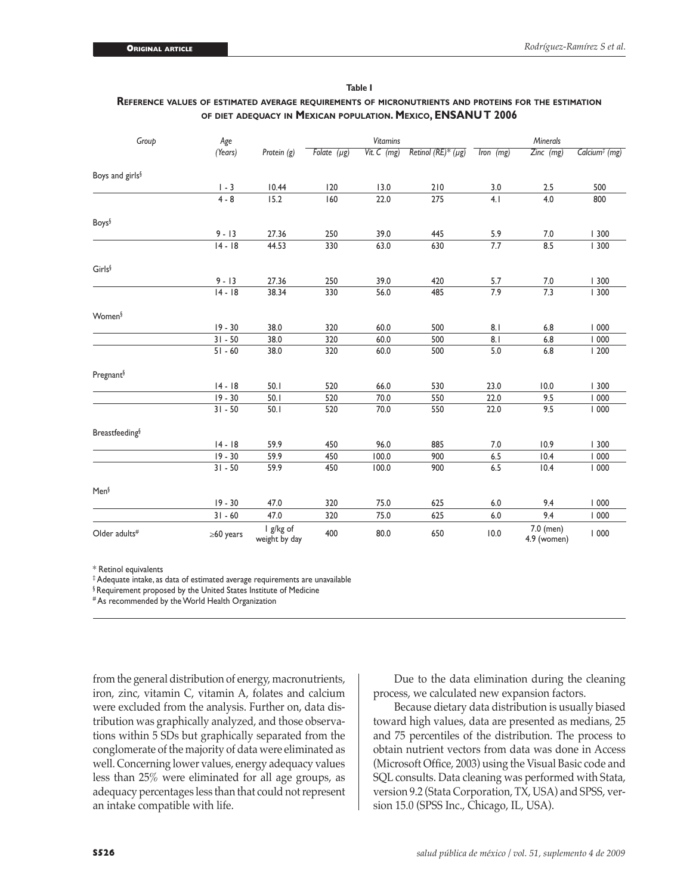| Table L                                                                                              |  |
|------------------------------------------------------------------------------------------------------|--|
| REFERENCE VALUES OF ESTIMATED AVERAGE REOUIREMENTS OF MICRONUTRIENTS AND PROTEINS FOR THE ESTIMATION |  |
| OF DIET ADEQUACY IN MEXICAN POPULATION. MEXICO, ENSANUT 2006                                         |  |

| Group                       | Age             |                            | <b>Vitamins</b>  |               |                         | Minerals  |                          |                           |
|-----------------------------|-----------------|----------------------------|------------------|---------------|-------------------------|-----------|--------------------------|---------------------------|
|                             | (Years)         | Protein (g)                | Folate $(\mu g)$ | Vit. $C$ (mg) | Retinol (RE)* $(\mu g)$ | Iron (mg) | $Zinc$ (mg)              | Calcium <sup>#</sup> (mg) |
| Boys and girls <sup>§</sup> |                 |                            |                  |               |                         |           |                          |                           |
|                             | $1 - 3$         | 10.44                      | 120              | 13.0          | 210                     | 3.0       | 2.5                      | 500                       |
|                             | $4 - 8$         | 15.2                       | 160              | 22.0          | 275                     | 4.1       | 4.0                      | 800                       |
| <b>Boys</b>                 |                 |                            |                  |               |                         |           |                          |                           |
|                             | $9 - 13$        | 27.36                      | 250              | 39.0          | 445                     | 5.9       | 7.0                      | 300                       |
|                             | $14 - 18$       | 44.53                      | 330              | 63.0          | 630                     | 7.7       | 8.5                      | 300                       |
| Girls§                      |                 |                            |                  |               |                         |           |                          |                           |
|                             | $9 - 13$        | 27.36                      | 250              | 39.0          | 420                     | 5.7       | $7.0$                    | 300                       |
|                             | $14 - 18$       | 38.34                      | 330              | 56.0          | 485                     | 7.9       | 7.3                      | 300                       |
| Women <sup>§</sup>          |                 |                            |                  |               |                         |           |                          |                           |
|                             | $19 - 30$       | 38.0                       | 320              | 60.0          | 500                     | 8.1       | 6.8                      | 1000                      |
|                             | $31 - 50$       | 38.0                       | 320              | 60.0          | 500                     | 8.1       | 6.8                      | 1000                      |
|                             | $51 - 60$       | 38.0                       | 320              | 60.0          | 500                     | 5.0       | $6.8\,$                  | 1200                      |
| Pregnant <sup>§</sup>       |                 |                            |                  |               |                         |           |                          |                           |
|                             | $14 - 18$       | 50.1                       | 520              | 66.0          | 530                     | 23.0      | 10.0                     | 300                       |
|                             | $19 - 30$       | 50.1                       | 520              | 70.0          | 550                     | 22.0      | 9.5                      | 1000                      |
|                             | $31 - 50$       | 50.1                       | 520              | 70.0          | 550                     | 22.0      | 9.5                      | 1000                      |
| <b>Breastfeeding</b> §      |                 |                            |                  |               |                         |           |                          |                           |
|                             | $14 - 18$       | 59.9                       | 450              | 96.0          | 885                     | 7.0       | 10.9                     | 300                       |
|                             | $19 - 30$       | 59.9                       | 450              | 100.0         | 900                     | 6.5       | 10.4                     | 1000                      |
|                             | $31 - 50$       | 59.9                       | 450              | 100.0         | 900                     | 6.5       | 10.4                     | 1000                      |
| Men <sup>§</sup>            |                 |                            |                  |               |                         |           |                          |                           |
|                             | $19 - 30$       | 47.0                       | 320              | 75.0          | 625                     | 6.0       | 9.4                      | 1000                      |
|                             | $31 - 60$       | 47.0                       | 320              | 75.0          | 625                     | 6.0       | 9.4                      | 1000                      |
| Older adults <sup>#</sup>   | $\geq 60$ years | I g/kg of<br>weight by day | 400              | 80.0          | 650                     | 10.0      | 7.0 (men)<br>4.9 (women) | 1000                      |

\* Retinol equivalents

‡ Adequate intake, as data of estimated average requirements are unavailable

§ Requirement proposed by the United States Institute of Medicine

# As recommended by the World Health Organization

from the general distribution of energy, macronutrients, iron, zinc, vitamin C, vitamin A, folates and calcium were excluded from the analysis. Further on, data distribution was graphically analyzed, and those observations within 5 SDs but graphically separated from the conglomerate of the majority of data were eliminated as well. Concerning lower values, energy adequacy values less than 25% were eliminated for all age groups, as adequacy percentages less than that could not represent an intake compatible with life.

Due to the data elimination during the cleaning process, we calculated new expansion factors.

Because dietary data distribution is usually biased toward high values, data are presented as medians, 25 and 75 percentiles of the distribution. The process to obtain nutrient vectors from data was done in Access (Microsoft Office, 2003) using the Visual Basic code and SQL consults. Data cleaning was performed with Stata, version 9.2 (Stata Corporation, TX, USA) and SPSS, version 15.0 (SPSS Inc., Chicago, IL, USA).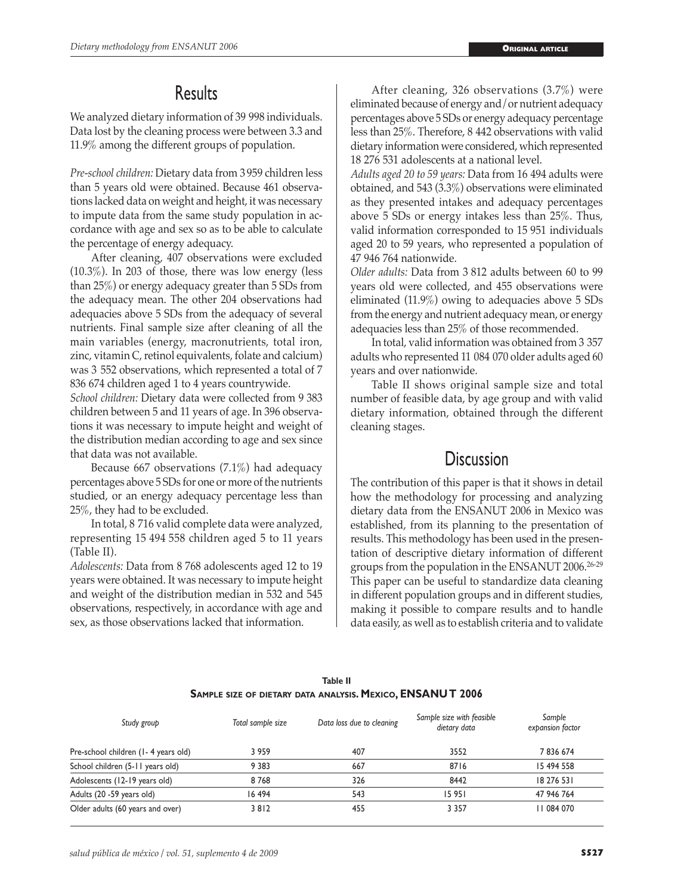## **Results**

We analyzed dietary information of 39 998 individuals. Data lost by the cleaning process were between 3.3 and 11.9% among the different groups of population.

*Pre-school children:* Dietary data from 3 959 children less than 5 years old were obtained. Because 461 observations lacked data on weight and height, it was necessary to impute data from the same study population in accordance with age and sex so as to be able to calculate the percentage of energy adequacy.

After cleaning, 407 observations were excluded (10.3%). In 203 of those, there was low energy (less than 25%) or energy adequacy greater than 5 SDs from the adequacy mean. The other 204 observations had adequacies above 5 SDs from the adequacy of several nutrients. Final sample size after cleaning of all the main variables (energy, macronutrients, total iron, zinc, vitamin C, retinol equivalents, folate and calcium) was 3 552 observations, which represented a total of 7 836 674 children aged 1 to 4 years countrywide.

*School children:* Dietary data were collected from 9 383 children between 5 and 11 years of age. In 396 observations it was necessary to impute height and weight of the distribution median according to age and sex since that data was not available.

Because 667 observations (7.1%) had adequacy percentages above 5 SDs for one or more of the nutrients studied, or an energy adequacy percentage less than 25%, they had to be excluded.

In total, 8 716 valid complete data were analyzed, representing 15 494 558 children aged 5 to 11 years (Table II).

*Adolescents:* Data from 8 768 adolescents aged 12 to 19 years were obtained. It was necessary to impute height and weight of the distribution median in 532 and 545 observations, respectively, in accordance with age and sex, as those observations lacked that information.

After cleaning, 326 observations (3.7%) were eliminated because of energy and/or nutrient adequacy percentages above 5 SDs or energy adequacy percentage less than 25%. Therefore, 8 442 observations with valid dietary information were considered, which represented 18 276 531 adolescents at a national level.

*Adults aged 20 to 59 years:* Data from 16 494 adults were obtained, and 543 (3.3%) observations were eliminated as they presented intakes and adequacy percentages above 5 SDs or energy intakes less than 25%. Thus, valid information corresponded to 15 951 individuals aged 20 to 59 years, who represented a population of 47 946 764 nationwide.

*Older adults:* Data from 3 812 adults between 60 to 99 years old were collected, and 455 observations were eliminated (11.9%) owing to adequacies above 5 SDs from the energy and nutrient adequacy mean, or energy adequacies less than 25% of those recommended.

In total, valid information was obtained from 3 357 adults who represented 11 084 070 older adults aged 60 years and over nationwide.

Table II shows original sample size and total number of feasible data, by age group and with valid dietary information, obtained through the different cleaning stages.

## **Discussion**

The contribution of this paper is that it shows in detail how the methodology for processing and analyzing dietary data from the ENSANUT 2006 in Mexico was established, from its planning to the presentation of results. This methodology has been used in the presentation of descriptive dietary information of different groups from the population in the ENSANUT 2006.26-29 This paper can be useful to standardize data cleaning in different population groups and in different studies, making it possible to compare results and to handle data easily, as well as to establish criteria and to validate

| Study group                         | Total sample size | Data loss due to cleaning | Sample size with feasible<br>dietary data | Sample<br>expansion factor |
|-------------------------------------|-------------------|---------------------------|-------------------------------------------|----------------------------|
| Pre-school children (1-4 years old) | 3959              | 407                       | 3552                                      | 7836674                    |
| School children (5-11 years old)    | 9 3 8 3           | 667                       | 8716                                      | 15 494 558                 |
| Adolescents (12-19 years old)       | 8768              | 326                       | 8442                                      | 18 276 531                 |
| Adults (20 -59 years old)           | 16494             | 543                       | 15951                                     | 47 946 764                 |
| Older adults (60 years and over)    | 3812              | 455                       | 3 3 5 7                                   | 084 070                    |

## **Table II Sample size of dietary data analysis. Mexico, ENSANUT 2006**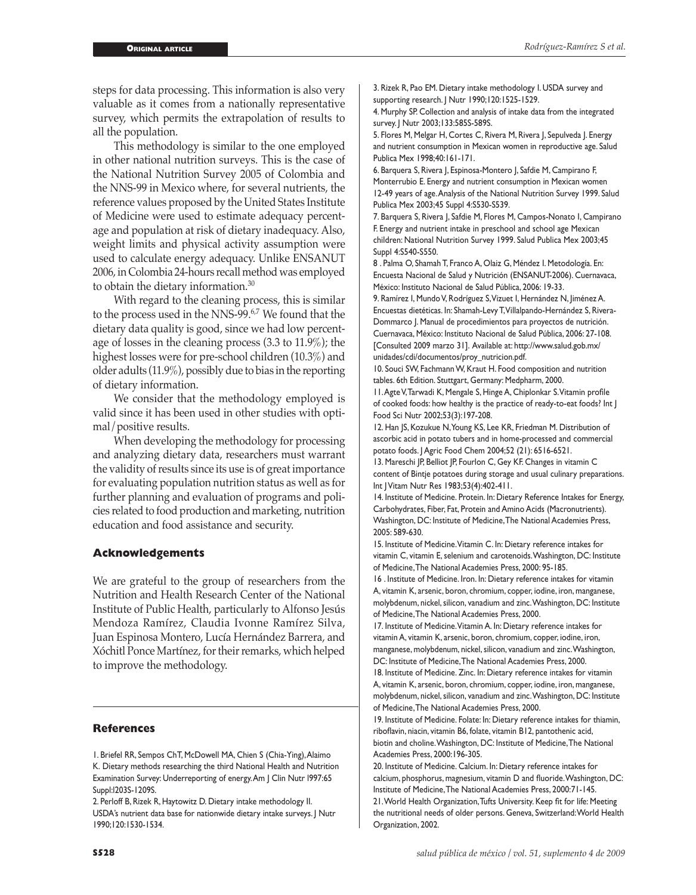steps for data processing. This information is also very valuable as it comes from a nationally representative survey, which permits the extrapolation of results to all the population.

This methodology is similar to the one employed in other national nutrition surveys. This is the case of the National Nutrition Survey 2005 of Colombia and the NNS-99 in Mexico where, for several nutrients, the reference values proposed by the United States Institute of Medicine were used to estimate adequacy percentage and population at risk of dietary inadequacy. Also, weight limits and physical activity assumption were used to calculate energy adequacy. Unlike ENSANUT 2006, in Colombia 24-hours recall method was employed to obtain the dietary information.<sup>30</sup>

With regard to the cleaning process, this is similar to the process used in the NNS-99.<sup>6,7</sup> We found that the dietary data quality is good, since we had low percentage of losses in the cleaning process (3.3 to 11.9%); the highest losses were for pre-school children (10.3%) and older adults (11.9%), possibly due to bias in the reporting of dietary information.

We consider that the methodology employed is valid since it has been used in other studies with optimal/positive results.

When developing the methodology for processing and analyzing dietary data, researchers must warrant the validity of results since its use is of great importance for evaluating population nutrition status as well as for further planning and evaluation of programs and policies related to food production and marketing, nutrition education and food assistance and security.

#### **Acknowledgements**

We are grateful to the group of researchers from the Nutrition and Health Research Center of the National Institute of Public Health, particularly to Alfonso Jesús Mendoza Ramírez, Claudia Ivonne Ramírez Silva, Juan Espinosa Montero, Lucía Hernández Barrera, and Xóchitl Ponce Martínez, for their remarks, which helped to improve the methodology.

#### **References**

2. Perloff B, Rizek R, Haytowitz D. Dietary intake methodology II. USDA's nutrient data base for nationwide dietary intake surveys. J Nutr 1990;120:1530-1534.

4. Murphy SP. Collection and analysis of intake data from the integrated survey. J Nutr 2003;133:585S-589S.

5. Flores M, Melgar H, Cortes C, Rivera M, Rivera J, Sepulveda J. Energy and nutrient consumption in Mexican women in reproductive age. Salud Publica Mex 1998;40:161-171.

6. Barquera S, Rivera J, Espinosa-Montero J, Safdie M, Campirano F, Monterrubio E. Energy and nutrient consumption in Mexican women 12-49 years of age. Analysis of the National Nutrition Survey 1999. Salud Publica Mex 2003;45 Suppl 4:S530-S539.

7. Barquera S, Rivera J, Safdie M, Flores M, Campos-Nonato I, Campirano F. Energy and nutrient intake in preschool and school age Mexican children: National Nutrition Survey 1999. Salud Publica Mex 2003;45 Suppl 4:S540-S550.

8 . Palma O, Shamah T, Franco A, Olaiz G, Méndez I. Metodología. En: Encuesta Nacional de Salud y Nutrición (ENSANUT-2006). Cuernavaca, México: Instituto Nacional de Salud Pública, 2006: 19-33.

9. Ramírez I, Mundo V, Rodríguez S, Vizuet I, Hernández N, Jiménez A. Encuestas dietéticas. In: Shamah-Levy T, Villalpando-Hernández S, Rivera-Dommarco J. Manual de procedimientos para proyectos de nutrición. Cuernavaca, México: Instituto Nacional de Salud Pública, 2006: 27-108. [Consulted 2009 marzo 31]. Available at: http://www.salud.gob.mx/ unidades/cdi/documentos/proy\_nutricion.pdf.

10. Souci SW, Fachmann W, Kraut H. Food composition and nutrition tables. 6th Edition. Stuttgart, Germany: Medpharm, 2000.

11. Agte V, Tarwadi K, Mengale S, Hinge A, Chiplonkar S. Vitamin profile of cooked foods: how healthy is the practice of ready-to-eat foods? Int J Food Sci Nutr 2002;53(3):197-208.

12. Han JS, Kozukue N, Young KS, Lee KR, Friedman M. Distribution of ascorbic acid in potato tubers and in home-processed and commercial potato foods. J Agric Food Chem 2004;52 (21): 6516-6521.

13. Mareschi JP, Belliot JP, Fourlon C, Gey KF. Changes in vitamin C content of Bintje potatoes during storage and usual culinary preparations. Int J Vitam Nutr Res 1983;53(4):402-411.

14. Institute of Medicine. Protein. In: Dietary Reference Intakes for Energy, Carbohydrates, Fiber, Fat, Protein and Amino Acids (Macronutrients). Washington, DC: Institute of Medicine, The National Academies Press, 2005: 589-630.

15. Institute of Medicine. Vitamin C. In: Dietary reference intakes for vitamin C, vitamin E, selenium and carotenoids. Washington, DC: Institute of Medicine, The National Academies Press, 2000: 95-185.

16 . Institute of Medicine. Iron. In: Dietary reference intakes for vitamin A, vitamin K, arsenic, boron, chromium, copper, iodine, iron, manganese, molybdenum, nickel, silicon, vanadium and zinc. Washington, DC: Institute of Medicine, The National Academies Press, 2000.

17. Institute of Medicine. Vitamin A. In: Dietary reference intakes for vitamin A, vitamin K, arsenic, boron, chromium, copper, iodine, iron, manganese, molybdenum, nickel, silicon, vanadium and zinc. Washington, DC: Institute of Medicine, The National Academies Press, 2000. 18. Institute of Medicine. Zinc. In: Dietary reference intakes for vitamin

A, vitamin K, arsenic, boron, chromium, copper, iodine, iron, manganese, molybdenum, nickel, silicon, vanadium and zinc. Washington, DC: Institute of Medicine, The National Academies Press, 2000.

19. Institute of Medicine. Folate: In: Dietary reference intakes for thiamin, riboflavin, niacin, vitamin B6, folate, vitamin B12, pantothenic acid, biotin and choline. Washington, DC: Institute of Medicine, The National Academies Press, 2000:196-305.

20. Institute of Medicine. Calcium. In: Dietary reference intakes for calcium, phosphorus, magnesium, vitamin D and fluoride. Washington, DC: Institute of Medicine, The National Academies Press, 2000:71-145. 21. World Health Organization, Tufts University. Keep fit for life: Meeting the nutritional needs of older persons. Geneva, Switzerland: World Health Organization, 2002.

<sup>1.</sup> Briefel RR, Sempos ChT, McDowell MA, Chien S (Chia-Ying), Alaimo K. Dietary methods researching the third National Health and Nutrition Examination Survey: Underreporting of energy. Am | Clin Nutr 1997:65 Suppl:l203S-1209S.